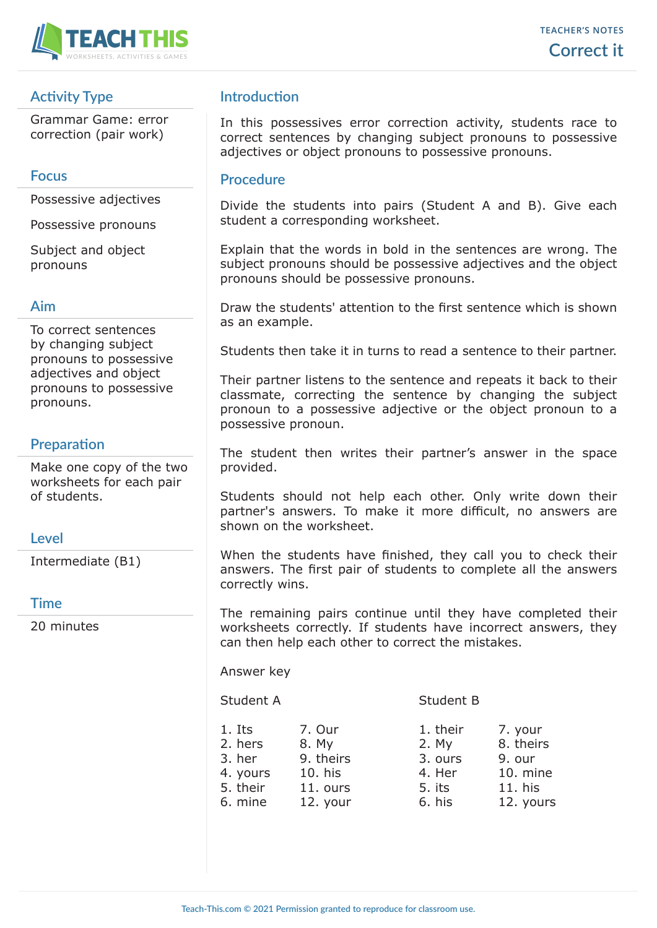

# **Activity Type**

Grammar Game: error correction (pair work)

## **Focus**

Possessive adjectives

Possessive pronouns

Subject and object pronouns

## **Aim**

To correct sentences by changing subject pronouns to possessive adjectives and object pronouns to possessive pronouns.

## **Preparation**

Make one copy of the two worksheets for each pair of students.

## **Level**

Intermediate (B1)

#### **Time**

20 minutes

## **Introduction**

In this possessives error correction activity, students race to correct sentences by changing subject pronouns to possessive adjectives or object pronouns to possessive pronouns.

## **Procedure**

Divide the students into pairs (Student A and B). Give each student a corresponding worksheet.

Explain that the words in bold in the sentences are wrong. The subject pronouns should be possessive adjectives and the object pronouns should be possessive pronouns.

Draw the students' attention to the first sentence which is shown as an example.

Students then take it in turns to read a sentence to their partner.

Their partner listens to the sentence and repeats it back to their classmate, correcting the sentence by changing the subject pronoun to a possessive adjective or the object pronoun to a possessive pronoun.

The student then writes their partner's answer in the space provided.

Students should not help each other. Only write down their partner's answers. To make it more difficult, no answers are shown on the worksheet.

When the students have finished, they call you to check their answers. The first pair of students to complete all the answers correctly wins.

The remaining pairs continue until they have completed their worksheets correctly. If students have incorrect answers, they can then help each other to correct the mistakes.

Answer key

Student A Student B

1. Its 7. Our 1. their 7. your 2. hers 8. My 2. 3. her 9. theirs  $3.$ 4. yours 10. his 4. 5. their 11. ours 5. 6. mine 12. your 6.

| My   | 8. theirs |
|------|-----------|
| ours | 9. our    |
| Her  | 10. mine  |
| its  | 11. his   |
| his  | 12. yours |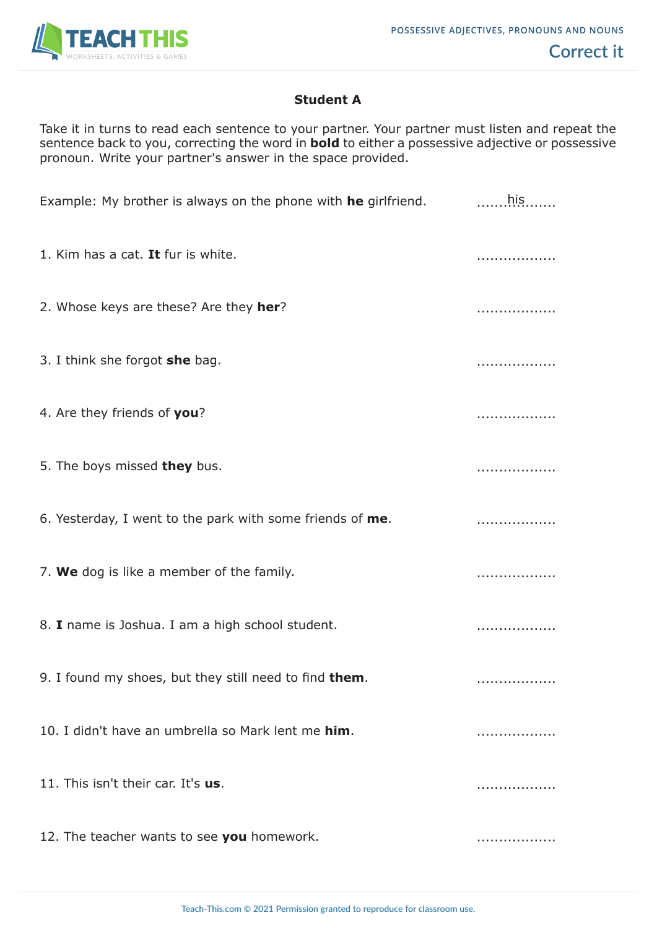

## **Student A**

Take it in turns to read each sentence to your partner. Your partner must listen and repeat the sentence back to you, correcting the word in **bold** to either a possessive adjective or possessive pronoun. Write your partner's answer in the space provided.

| Example: My brother is always on the phone with he girlfriend. | $\ldots$ his $\ldots$ |
|----------------------------------------------------------------|-----------------------|
| 1. Kim has a cat. It fur is white.                             | .                     |
| 2. Whose keys are these? Are they her?                         | .                     |
| 3. I think she forgot she bag.                                 | .                     |
| 4. Are they friends of you?                                    | .                     |
| 5. The boys missed they bus.                                   | .                     |
| 6. Yesterday, I went to the park with some friends of me.      | .                     |
| 7. We dog is like a member of the family.                      | .                     |
| 8. I name is Joshua. I am a high school student.               | .                     |
| 9. I found my shoes, but they still need to find them.         | .                     |
| 10. I didn't have an umbrella so Mark lent me him.             | .                     |
| 11. This isn't their car. It's us.                             | .                     |
| 12. The teacher wants to see you homework.                     | .                     |